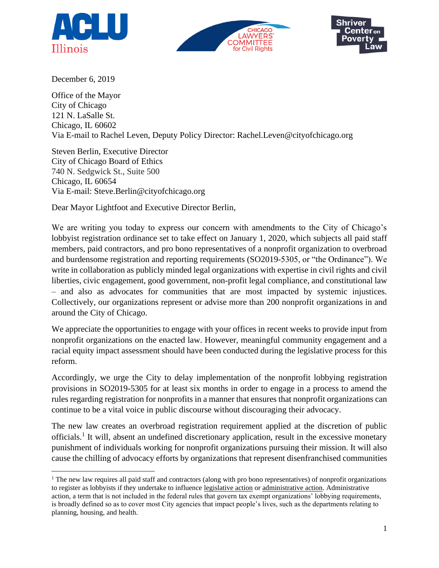





December 6, 2019

Office of the Mayor City of Chicago 121 N. LaSalle St. Chicago, IL 60602 Via E-mail to Rachel Leven, Deputy Policy Director: Rachel.Leven@cityofchicago.org

Steven Berlin, Executive Director City of Chicago Board of Ethics 740 N. Sedgwick St., Suite 500 Chicago, IL 60654 Via E-mail: Steve.Berlin@cityofchicago.org

Dear Mayor Lightfoot and Executive Director Berlin,

We are writing you today to express our concern with amendments to the City of Chicago's lobbyist registration ordinance set to take effect on January 1, 2020, which subjects all paid staff members, paid contractors, and pro bono representatives of a nonprofit organization to overbroad and burdensome registration and reporting requirements (SO2019-5305, or "the Ordinance"). We write in collaboration as publicly minded legal organizations with expertise in civil rights and civil liberties, civic engagement, good government, non-profit legal compliance, and constitutional law – and also as advocates for communities that are most impacted by systemic injustices. Collectively, our organizations represent or advise more than 200 nonprofit organizations in and around the City of Chicago.

We appreciate the opportunities to engage with your offices in recent weeks to provide input from nonprofit organizations on the enacted law. However, meaningful community engagement and a racial equity impact assessment should have been conducted during the legislative process for this reform.

Accordingly, we urge the City to delay implementation of the nonprofit lobbying registration provisions in SO2019-5305 for at least six months in order to engage in a process to amend the rules regarding registration for nonprofits in a manner that ensures that nonprofit organizations can continue to be a vital voice in public discourse without discouraging their advocacy.

The new law creates an overbroad registration requirement applied at the discretion of public officials.<sup>1</sup> It will, absent an undefined discretionary application, result in the excessive monetary punishment of individuals working for nonprofit organizations pursuing their mission. It will also cause the chilling of advocacy efforts by organizations that represent disenfranchised communities

 $<sup>1</sup>$  The new law requires all paid staff and contractors (along with pro bono representatives) of nonprofit organizations</sup> to register as lobbyists if they undertake to influence legislative action or administrative action. Administrative action, a term that is not included in the federal rules that govern tax exempt organizations' lobbying requirements, is broadly defined so as to cover most City agencies that impact people's lives, such as the departments relating to planning, housing, and health.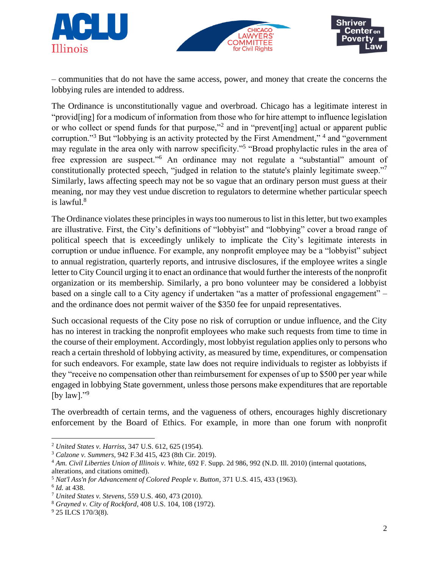





– communities that do not have the same access, power, and money that create the concerns the lobbying rules are intended to address.

The Ordinance is unconstitutionally vague and overbroad. Chicago has a legitimate interest in "provid[ing] for a modicum of information from those who for hire attempt to influence legislation or who collect or spend funds for that purpose,"<sup>2</sup> and in "prevent[ing] actual or apparent public corruption."<sup>3</sup> But "lobbying is an activity protected by the First Amendment,"<sup>4</sup> and "government may regulate in the area only with narrow specificity."<sup>5</sup> "Broad prophylactic rules in the area of free expression are suspect."<sup>6</sup> An ordinance may not regulate a "substantial" amount of constitutionally protected speech, "judged in relation to the statute's plainly legitimate sweep."<sup>7</sup> Similarly, laws affecting speech may not be so vague that an ordinary person must guess at their meaning, nor may they vest undue discretion to regulators to determine whether particular speech is lawful. $8$ 

The Ordinance violates these principles in ways too numerous to list in this letter, but two examples are illustrative. First, the City's definitions of "lobbyist" and "lobbying" cover a broad range of political speech that is exceedingly unlikely to implicate the City's legitimate interests in corruption or undue influence. For example, any nonprofit employee may be a "lobbyist" subject to annual registration, quarterly reports, and intrusive disclosures, if the employee writes a single letter to City Council urging it to enact an ordinance that would further the interests of the nonprofit organization or its membership. Similarly, a pro bono volunteer may be considered a lobbyist based on a single call to a City agency if undertaken "as a matter of professional engagement" – and the ordinance does not permit waiver of the \$350 fee for unpaid representatives.

Such occasional requests of the City pose no risk of corruption or undue influence, and the City has no interest in tracking the nonprofit employees who make such requests from time to time in the course of their employment. Accordingly, most lobbyist regulation applies only to persons who reach a certain threshold of lobbying activity, as measured by time, expenditures, or compensation for such endeavors. For example, state law does not require individuals to register as lobbyists if they "receive no compensation other than reimbursement for expenses of up to \$500 per year while engaged in lobbying State government, unless those persons make expenditures that are reportable [by  $law$ ]."

The overbreadth of certain terms, and the vagueness of others, encourages highly discretionary enforcement by the Board of Ethics. For example, in more than one forum with nonprofit

<sup>2</sup> *United States v. Harriss*, 347 U.S. 612, 625 (1954).

<sup>3</sup> *Calzone v. Summers*, 942 F.3d 415, 423 (8th Cir. 2019).

<sup>4</sup> *Am. Civil Liberties Union of Illinois v. White*, 692 F. Supp. 2d 986, 992 (N.D. Ill. 2010) (internal quotations, alterations, and citations omitted).

<sup>5</sup> *Nat'l Ass'n for Advancement of Colored People v. Button*, 371 U.S. 415, 433 (1963).

<sup>6</sup> *Id.* at 438.

<sup>7</sup> *United States v. Stevens*, 559 U.S. 460, 473 (2010).

<sup>8</sup> *Grayned v. City of Rockford*, 408 U.S. 104, 108 (1972).

<sup>&</sup>lt;sup>9</sup> 25 ILCS 170/3(8).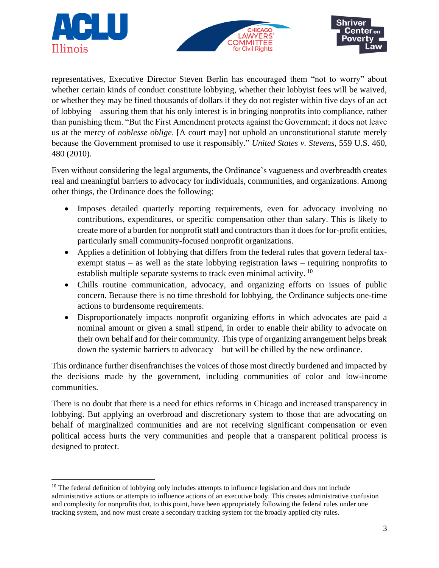





representatives, Executive Director Steven Berlin has encouraged them "not to worry" about whether certain kinds of conduct constitute lobbying, whether their lobbyist fees will be waived, or whether they may be fined thousands of dollars if they do not register within five days of an act of lobbying—assuring them that his only interest is in bringing nonprofits into compliance, rather than punishing them. "But the First Amendment protects against the Government; it does not leave us at the mercy of *noblesse oblige*. [A court may] not uphold an unconstitutional statute merely because the Government promised to use it responsibly." *United States v. Stevens*, 559 U.S. 460, 480 (2010).

Even without considering the legal arguments, the Ordinance's vagueness and overbreadth creates real and meaningful barriers to advocacy for individuals, communities, and organizations. Among other things, the Ordinance does the following:

- Imposes detailed quarterly reporting requirements, even for advocacy involving no contributions, expenditures, or specific compensation other than salary. This is likely to create more of a burden for nonprofit staff and contractors than it does for for-profit entities, particularly small community-focused nonprofit organizations.
- Applies a definition of lobbying that differs from the federal rules that govern federal taxexempt status – as well as the state lobbying registration laws – requiring nonprofits to establish multiple separate systems to track even minimal activity.<sup>10</sup>
- Chills routine communication, advocacy, and organizing efforts on issues of public concern. Because there is no time threshold for lobbying, the Ordinance subjects one-time actions to burdensome requirements.
- Disproportionately impacts nonprofit organizing efforts in which advocates are paid a nominal amount or given a small stipend, in order to enable their ability to advocate on their own behalf and for their community. This type of organizing arrangement helps break down the systemic barriers to advocacy – but will be chilled by the new ordinance.

This ordinance further disenfranchises the voices of those most directly burdened and impacted by the decisions made by the government, including communities of color and low-income communities.

There is no doubt that there is a need for ethics reforms in Chicago and increased transparency in lobbying. But applying an overbroad and discretionary system to those that are advocating on behalf of marginalized communities and are not receiving significant compensation or even political access hurts the very communities and people that a transparent political process is designed to protect.

 $10$  The federal definition of lobbying only includes attempts to influence legislation and does not include administrative actions or attempts to influence actions of an executive body. This creates administrative confusion and complexity for nonprofits that, to this point, have been appropriately following the federal rules under one tracking system, and now must create a secondary tracking system for the broadly applied city rules.